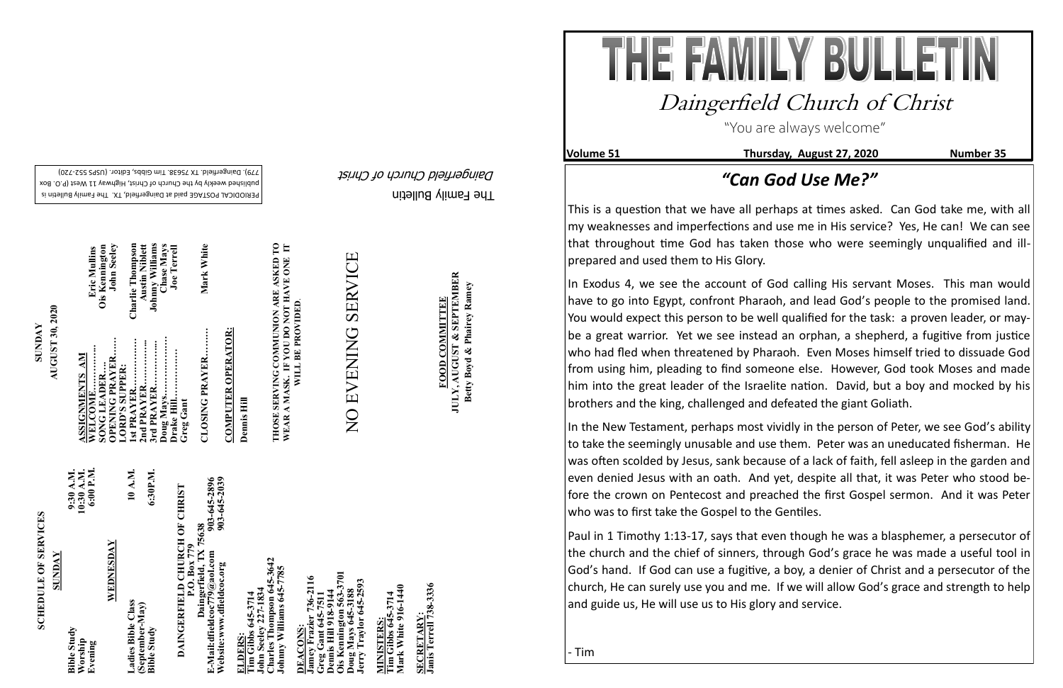The Family Bulletin Daingerfield Church of Christ

# **SCHEDULE OF SERVICES SCHEDULE OF SERVICES**

PERIODICAL POSTAGE paid at Daingerfield, TX. The Family Bulletin is published weekly by the Church of Christ, Highway 11 West (P.O. Box 720) - 779). Daingerfield. TX 75638. Tim Gibbs, Editor. (USPS 552

> 903-645-2896<br>903-645-2039 **Website:www.dfieldcoc.org 903-645-2039 E-Mail:dfieldcoc779@aol.com 903-645-2896 DAINGERFIELD CHURCH OF CHRIST**<br>P.O. Box 779<br>Daingerfield, TX 75638<br>E-Mail:dfieldcoc779@aol.com<br>Website:www.dfieldcoc.org<br>Website:www.dfieldcoc.org **DAINGERFIELD CHURCH OF CHRIST Daingerfield, TX 75638**

**Tim Gibbs 645-3714**<br>John Seeley 227-1834<br>Charles Thompson 645-3<br>Johnny Williams 645-77 **John Seeley 227-1834 Charles Thompson 645-3642 Johnny Williams 645-7785** 

| SUNDAY                                   |                                      |
|------------------------------------------|--------------------------------------|
| <b>Bible Study</b><br>Worship<br>Evening | 10:30 A.M.<br>6:00 P.M.<br>9:30 A.M. |
| WEDNESDAY                                |                                      |
| Ladies Bible Class                       | 10 A.M.                              |
| (September-May)<br><b>Bible Study</b>    | 6:30P.M.                             |

**ZZZ** 

**Ois Kennington 563-3701 Jamey Frazier 736-2116**  736-2116 **Jerry Traylor 645-2593 Greg Gant 645-7511 Dennis Hill 918-9144 Doug Mays 645-3188** oug Mays 645-31<br>erry Traylor 645ennis Hill 918-91<br>is Kennington 5 **DEACONS:**  <u>Eccoure</u><br>Imey Fraz<br>reg Gant (<br>ennis Hill **DEACONS** 

**Tim Gibbs 645-3714**<br>Mark White 916-1440 **Mark White 916-1440 Tim Gibbs 645-3714 MINISTERS:** MINISTERS

SECRETARY:<br>Janis Terrell 738-3336 **Janis Terrell 738-3336 SECRETARY:**

**SUNDAY**<br>AUGUST 30, 2020 **AUGUST 30, 2020**

**Austin Niblett**<br>Johnny Williams<br>Chase Mays<br>Joe Terrell **1st PRAYER……………. Charlie Thompson 3rd PRAYER…………... Johnny Williams 2nd PRAYER…………... Austin Niblett Doug Mays………………. Chase Mays CLOSING PRAYER……… Mark White**  Eric Mullins<br>Ois Kennington<br>John Seeley Mark White **WELCOME…………... Eric Mullins OPENING PRAYER…… John Seeley SONG LEADER…. Ois Kennington Drake Hill……………. Joe Terrell** Charlie Thompso CLOSING PRAYER.......... **ASSIGNMENTS AM LORD'S SUPPER: Greg Gant Gant** rd PR  $\mathbf{M}$  and **Jrak** 

 $\Sigma$   $\Sigma$ 

**Tim Gibbs 645-3714** 

**COMPUTER OPERATOR: COMPUTER OPERATOR:** NO EVENING SERVICE NO EVENING SERVICE

JULY, AUGUST & SEPTEMBER<br>Betty Boyd & Phairey Ramey **JULY, AUGUST & SEPTEMBER Betty Boyd & Phairey Ramey** FOOD COMMITTEE **FOOD COMMITTEE**

THE FAMILY BULLET Daingerfield Church of Christ "You are always welcome"

In Exodus 4, we see the account of God calling His servant Moses. This man would have to go into Egypt, confront Pharaoh, and lead God's people to the promised land. You would expect this person to be well qualified for the task: a proven leader, or maybe a great warrior. Yet we see instead an orphan, a shepherd, a fugitive from justice who had fled when threatened by Pharaoh. Even Moses himself tried to dissuade God from using him, pleading to find someone else. However, God took Moses and made him into the great leader of the Israelite nation. David, but a boy and mocked by his brothers and the king, challenged and defeated the giant Goliath.

**Dennis Hill**

**THOSE SERVING COMMUNION ARE ASKED TO**  THOSE SERVING COMMUNION ARE ASKED TO<br>WEAR A MASK. IF YOU DO NOT HAVE ONE IT<br>WILL BE PROVIDED. **WEAR A MASK. IF YOU DO NOT HAVE ONE IT WILL BE PROVIDED**.

In the New Testament, perhaps most vividly in the person of Peter, we see God's ability to take the seemingly unusable and use them. Peter was an uneducated fisherman. He was often scolded by Jesus, sank because of a lack of faith, fell asleep in the garden and even denied Jesus with an oath. And yet, despite all that, it was Peter who stood before the crown on Pentecost and preached the first Gospel sermon. And it was Peter who was to first take the Gospel to the Gentiles.

**Volume 51 Thursday, August 27, 2020 Number 35**

## *"Can God Use Me?"*

Paul in 1 Timothy 1:13-17, says that even though he was a blasphemer, a persecutor of the church and the chief of sinners, through God's grace he was made a useful tool in God's hand. If God can use a fugitive, a boy, a denier of Christ and a persecutor of the church, He can surely use you and me. If we will allow God's grace and strength to help and guide us, He will use us to His glory and service.

This is a question that we have all perhaps at times asked. Can God take me, with all my weaknesses and imperfections and use me in His service? Yes, He can! We can see that throughout time God has taken those who were seemingly unqualified and illprepared and used them to His Glory.

- Tim